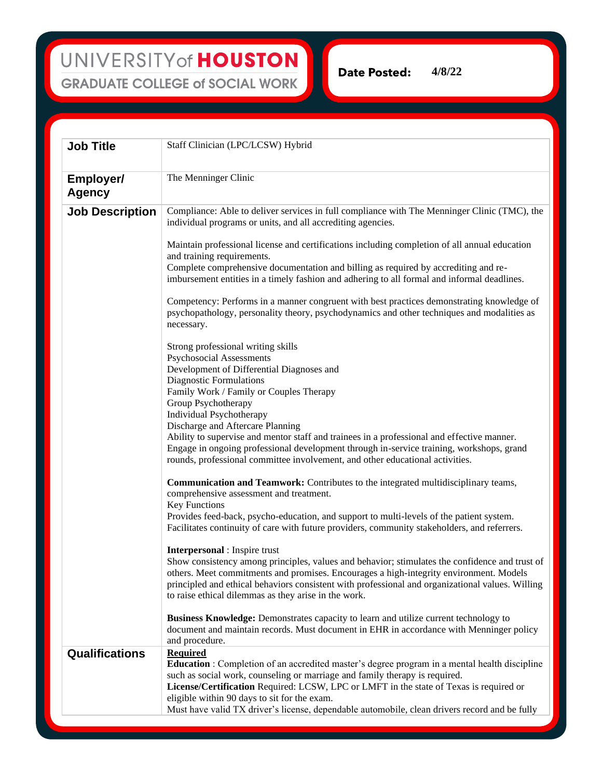**Date Posted: 4/8/22**

**Job Title** Staff Clinician (LPC/LCSW) Hybrid **Employer/ Agency** The Menninger Clinic **Job Description** Compliance: Able to deliver services in full compliance with The Menninger Clinic (TMC), the individual programs or units, and all accrediting agencies. Maintain professional license and certifications including completion of all annual education and training requirements. Complete comprehensive documentation and billing as required by accrediting and reimbursement entities in a timely fashion and adhering to all formal and informal deadlines. Competency: Performs in a manner congruent with best practices demonstrating knowledge of psychopathology, personality theory, psychodynamics and other techniques and modalities as necessary. Strong professional writing skills Psychosocial Assessments Development of Differential Diagnoses and Diagnostic Formulations Family Work / Family or Couples Therapy Group Psychotherapy Individual Psychotherapy Discharge and Aftercare Planning Ability to supervise and mentor staff and trainees in a professional and effective manner. Engage in ongoing professional development through in-service training, workshops, grand rounds, professional committee involvement, and other educational activities. **Communication and Teamwork:** Contributes to the integrated multidisciplinary teams, comprehensive assessment and treatment. Key Functions Provides feed-back, psycho-education, and support to multi-levels of the patient system. Facilitates continuity of care with future providers, community stakeholders, and referrers. **Interpersonal** : Inspire trust Show consistency among principles, values and behavior; stimulates the confidence and trust of others. Meet commitments and promises. Encourages a high-integrity environment. Models principled and ethical behaviors consistent with professional and organizational values. Willing to raise ethical dilemmas as they arise in the work. **Business Knowledge:** Demonstrates capacity to learn and utilize current technology to document and maintain records. Must document in EHR in accordance with Menninger policy and procedure. **Qualifications Required Education** : Completion of an accredited master's degree program in a mental health discipline such as social work, counseling or marriage and family therapy is required. **License/Certification** Required: LCSW, LPC or LMFT in the state of Texas is required or eligible within 90 days to sit for the exam. Must have valid TX driver's license, dependable automobile, clean drivers record and be fully